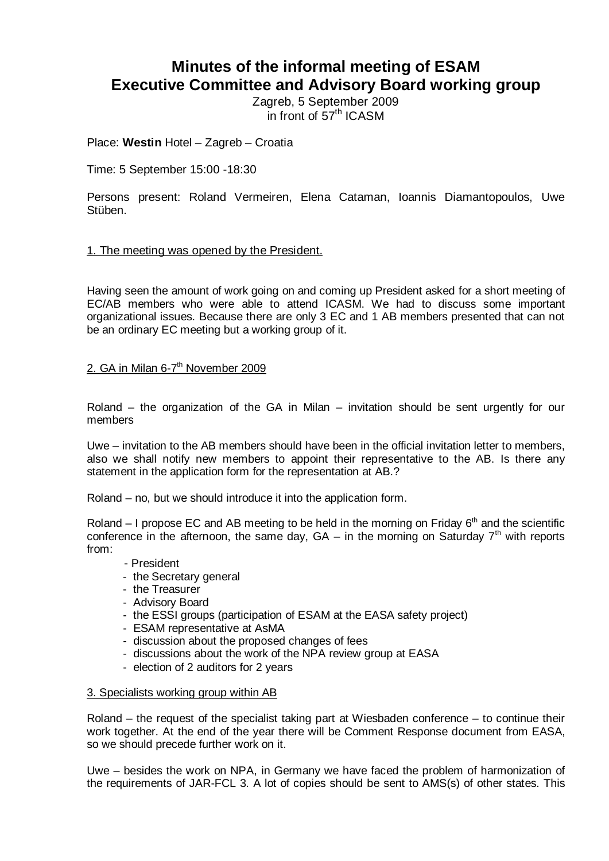# **Minutes of the informal meeting of ESAM Executive Committee and Advisory Board working group**

Zagreb, 5 September 2009 in front of  $57<sup>th</sup>$  ICASM

Place: **Westin** Hotel – Zagreb – Croatia

# Time: 5 September 15:00 -18:30

Persons present: Roland Vermeiren, Elena Cataman, Ioannis Diamantopoulos, Uwe Stüben.

# 1. The meeting was opened by the President.

Having seen the amount of work going on and coming up President asked for a short meeting of EC/AB members who were able to attend ICASM. We had to discuss some important organizational issues. Because there are only 3 EC and 1 AB members presented that can not be an ordinary EC meeting but a working group of it.

# 2. GA in Milan 6-7<sup>th</sup> November 2009

Roland – the organization of the GA in Milan – invitation should be sent urgently for our members

Uwe – invitation to the AB members should have been in the official invitation letter to members, also we shall notify new members to appoint their representative to the AB. Is there any statement in the application form for the representation at AB.?

Roland – no, but we should introduce it into the application form.

Roland – I propose EC and AB meeting to be held in the morning on Friday  $6<sup>th</sup>$  and the scientific conference in the afternoon, the same day,  $GA - in$  the morning on Saturday  $7<sup>th</sup>$  with reports from:

- President
- the Secretary general
- the Treasurer
- Advisory Board
- the ESSI groups (participation of ESAM at the EASA safety project)
- ESAM representative at AsMA
- discussion about the proposed changes of fees
- discussions about the work of the NPA review group at EASA
- election of 2 auditors for 2 years

#### 3. Specialists working group within AB

Roland – the request of the specialist taking part at Wiesbaden conference – to continue their work together. At the end of the year there will be Comment Response document from EASA, so we should precede further work on it.

Uwe – besides the work on NPA, in Germany we have faced the problem of harmonization of the requirements of JAR-FCL 3. A lot of copies should be sent to AMS(s) of other states. This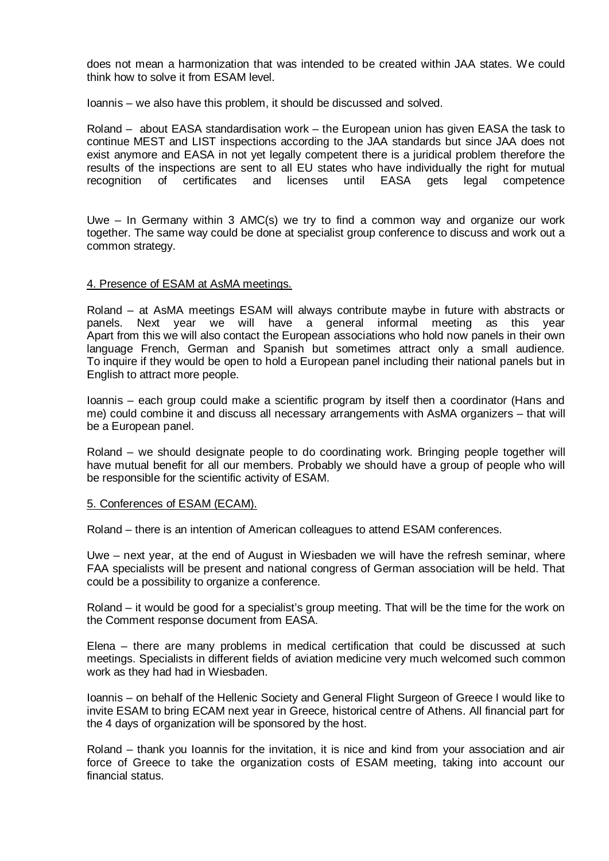does not mean a harmonization that was intended to be created within JAA states. We could think how to solve it from ESAM level.

Ioannis – we also have this problem, it should be discussed and solved.

Roland – about EASA standardisation work – the European union has given EASA the task to continue MEST and LIST inspections according to the JAA standards but since JAA does not exist anymore and EASA in not yet legally competent there is a juridical problem therefore the results of the inspections are sent to all EU states who have individually the right for mutual recognition of certificates and licenses until EASA gets legal competence

Uwe – In Germany within 3 AMC(s) we try to find a common way and organize our work together. The same way could be done at specialist group conference to discuss and work out a common strategy.

# 4. Presence of ESAM at AsMA meetings.

Roland – at AsMA meetings ESAM will always contribute maybe in future with abstracts or panels. Next vear we will have a general informal meeting as this vear Next year we will have a general informal meeting as this year Apart from this we will also contact the European associations who hold now panels in their own language French, German and Spanish but sometimes attract only a small audience. To inquire if they would be open to hold a European panel including their national panels but in English to attract more people.

Ioannis – each group could make a scientific program by itself then a coordinator (Hans and me) could combine it and discuss all necessary arrangements with AsMA organizers – that will be a European panel.

Roland – we should designate people to do coordinating work. Bringing people together will have mutual benefit for all our members. Probably we should have a group of people who will be responsible for the scientific activity of ESAM.

#### 5. Conferences of ESAM (ECAM).

Roland – there is an intention of American colleagues to attend ESAM conferences.

Uwe – next year, at the end of August in Wiesbaden we will have the refresh seminar, where FAA specialists will be present and national congress of German association will be held. That could be a possibility to organize a conference.

Roland – it would be good for a specialist's group meeting. That will be the time for the work on the Comment response document from EASA.

Elena – there are many problems in medical certification that could be discussed at such meetings. Specialists in different fields of aviation medicine very much welcomed such common work as they had had in Wiesbaden.

Ioannis – on behalf of the Hellenic Society and General Flight Surgeon of Greece I would like to invite ESAM to bring ECAM next year in Greece, historical centre of Athens. All financial part for the 4 days of organization will be sponsored by the host.

Roland – thank you Ioannis for the invitation, it is nice and kind from your association and air force of Greece to take the organization costs of ESAM meeting, taking into account our financial status.